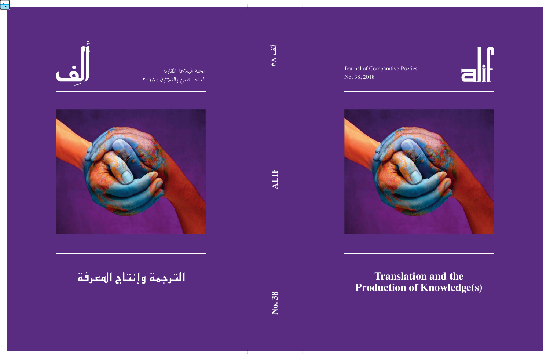

Journal of Comparative Poetics No. 38, 2018



# **Translation and the Production of Knowledge(s)**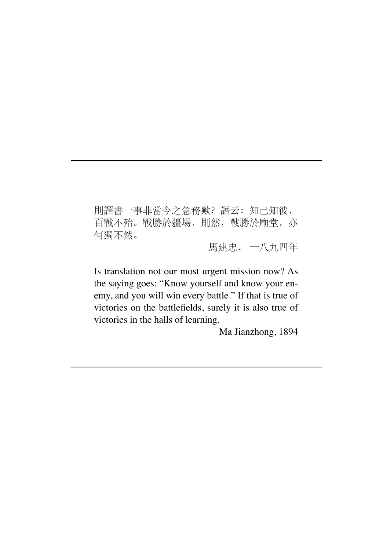則譯書一事非當今之急務歟?語云:知己知彼, 百戰不殆。戰勝於疆場,則然,戰勝於廟堂,亦 何獨不然。

馬建忠, 一八九四年

Is translation not our most urgent mission now? As the saying goes: "Know yourself and know your enemy, and you will win every battle." If that is true of victories on the battlefields, surely it is also true of victories in the halls of learning.

Ma Jianzhong, 1894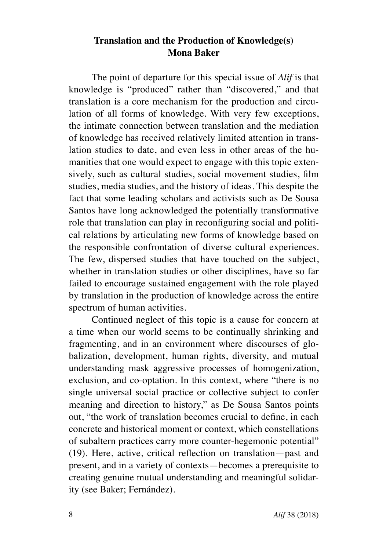## **Translation and the Production of Knowledge(s) Mona Baker**

The point of departure for this special issue of *Alif* is that knowledge is "produced" rather than "discovered," and that translation is a core mechanism for the production and circulation of all forms of knowledge. With very few exceptions, the intimate connection between translation and the mediation of knowledge has received relatively limited attention in translation studies to date, and even less in other areas of the humanities that one would expect to engage with this topic extensively, such as cultural studies, social movement studies, film studies, media studies, and the history of ideas. This despite the fact that some leading scholars and activists such as De Sousa Santos have long acknowledged the potentially transformative role that translation can play in reconfiguring social and political relations by articulating new forms of knowledge based on the responsible confrontation of diverse cultural experiences. The few, dispersed studies that have touched on the subject, whether in translation studies or other disciplines, have so far failed to encourage sustained engagement with the role played by translation in the production of knowledge across the entire spectrum of human activities.

Continued neglect of this topic is a cause for concern at a time when our world seems to be continually shrinking and fragmenting, and in an environment where discourses of globalization, development, human rights, diversity, and mutual understanding mask aggressive processes of homogenization, exclusion, and co-optation. In this context, where "there is no single universal social practice or collective subject to confer meaning and direction to history," as De Sousa Santos points out, "the work of translation becomes crucial to define, in each concrete and historical moment or context, which constellations of subaltern practices carry more counter-hegemonic potential" (19). Here, active, critical reflection on translation—past and present, and in a variety of contexts—becomes a prerequisite to creating genuine mutual understanding and meaningful solidarity (see Baker; Fernández).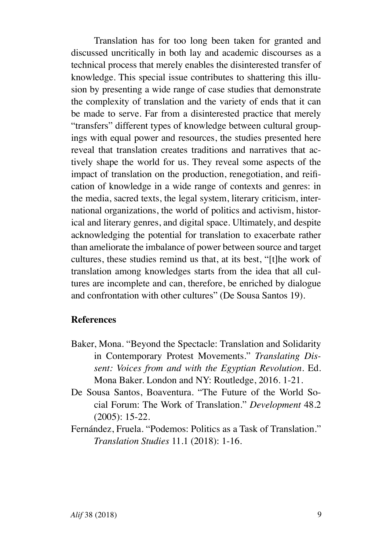Translation has for too long been taken for granted and discussed uncritically in both lay and academic discourses as a technical process that merely enables the disinterested transfer of knowledge. This special issue contributes to shattering this illusion by presenting a wide range of case studies that demonstrate the complexity of translation and the variety of ends that it can be made to serve. Far from a disinterested practice that merely "transfers" different types of knowledge between cultural groupings with equal power and resources, the studies presented here reveal that translation creates traditions and narratives that actively shape the world for us. They reveal some aspects of the impact of translation on the production, renegotiation, and reification of knowledge in a wide range of contexts and genres: in the media, sacred texts, the legal system, literary criticism, international organizations, the world of politics and activism, historical and literary genres, and digital space. Ultimately, and despite acknowledging the potential for translation to exacerbate rather than ameliorate the imbalance of power between source and target cultures, these studies remind us that, at its best, "[t]he work of translation among knowledges starts from the idea that all cultures are incomplete and can, therefore, be enriched by dialogue and confrontation with other cultures" (De Sousa Santos 19).

#### **References**

- Baker, Mona. "Beyond the Spectacle: Translation and Solidarity in Contemporary Protest Movements." *Translating Dissent: Voices from and with the Egyptian Revolution*. Ed. Mona Baker. London and NY: Routledge, 2016. 1-21.
- De Sousa Santos, Boaventura. "The Future of the World Social Forum: The Work of Translation." *Development* 48.2 (2005): 15-22.
- Fernández, Fruela. "Podemos: Politics as a Task of Translation." *Translation Studies* 11.1 (2018): 1-16.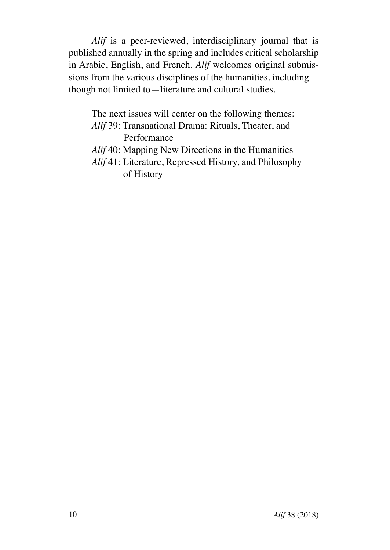*Alif* is a peer-reviewed, interdisciplinary journal that is published annually in the spring and includes critical scholarship in Arabic, English, and French. *Alif* welcomes original submissions from the various disciplines of the humanities, including though not limited to—literature and cultural studies.

The next issues will center on the following themes: *Alif* 39: Transnational Drama: Rituals, Theater, and Performance *Alif* 40: Mapping New Directions in the Humanities *Alif* 41: Literature, Repressed History, and Philosophy of History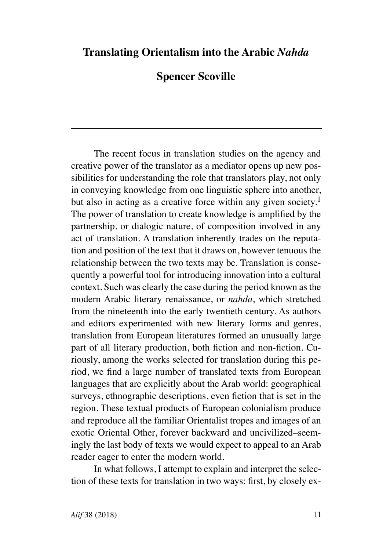## **Translating Orientalism into the Arabic** *Nahda*

## **Spencer Scoville**

The recent focus in translation studies on the agency and creative power of the translator as a mediator opens up new possibilities for understanding the role that translators play, not only in conveying knowledge from one linguistic sphere into another, but also in acting as a creative force within any given society.<sup>1</sup> The power of translation to create knowledge is amplified by the partnership, or dialogic nature, of composition involved in any act of translation. A translation inherently trades on the reputation and position of the text that it draws on, however tenuous the relationship between the two texts may be. Translation is consequently a powerful tool for introducing innovation into a cultural context. Such was clearly the case during the period known as the modern Arabic literary renaissance, or *nahda*, which stretched from the nineteenth into the early twentieth century. As authors and editors experimented with new literary forms and genres, translation from European literatures formed an unusually large part of all literary production, both fiction and non-fiction. Curiously, among the works selected for translation during this period, we find a large number of translated texts from European languages that are explicitly about the Arab world: geographical surveys, ethnographic descriptions, even fiction that is set in the region. These textual products of European colonialism produce and reproduce all the familiar Orientalist tropes and images of an exotic Oriental Other, forever backward and uncivilized–seemingly the last body of texts we would expect to appeal to an Arab reader eager to enter the modern world.

In what follows, I attempt to explain and interpret the selection of these texts for translation in two ways: first, by closely ex-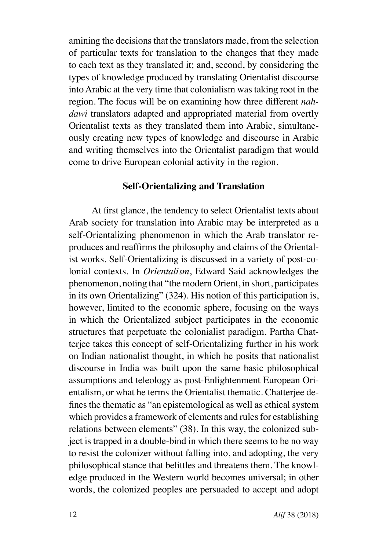amining the decisions that the translators made, from the selection of particular texts for translation to the changes that they made to each text as they translated it; and, second, by considering the types of knowledge produced by translating Orientalist discourse into Arabic at the very time that colonialism was taking root in the region. The focus will be on examining how three different *nahdawi* translators adapted and appropriated material from overtly Orientalist texts as they translated them into Arabic, simultaneously creating new types of knowledge and discourse in Arabic and writing themselves into the Orientalist paradigm that would come to drive European colonial activity in the region.

#### **Self-Orientalizing and Translation**

At first glance, the tendency to select Orientalist texts about Arab society for translation into Arabic may be interpreted as a self-Orientalizing phenomenon in which the Arab translator reproduces and reaffirms the philosophy and claims of the Orientalist works. Self-Orientalizing is discussed in a variety of post-colonial contexts. In *Orientalism*, Edward Said acknowledges the phenomenon, noting that "the modern Orient, in short, participates in its own Orientalizing" (324). His notion of this participation is, however, limited to the economic sphere, focusing on the ways in which the Orientalized subject participates in the economic structures that perpetuate the colonialist paradigm. Partha Chatterjee takes this concept of self-Orientalizing further in his work on Indian nationalist thought, in which he posits that nationalist discourse in India was built upon the same basic philosophical assumptions and teleology as post-Enlightenment European Orientalism, or what he terms the Orientalist thematic. Chatterjee defines the thematic as "an epistemological as well as ethical system which provides a framework of elements and rules for establishing relations between elements" (38). In this way, the colonized subject is trapped in a double-bind in which there seems to be no way to resist the colonizer without falling into, and adopting, the very philosophical stance that belittles and threatens them. The knowledge produced in the Western world becomes universal; in other words, the colonized peoples are persuaded to accept and adopt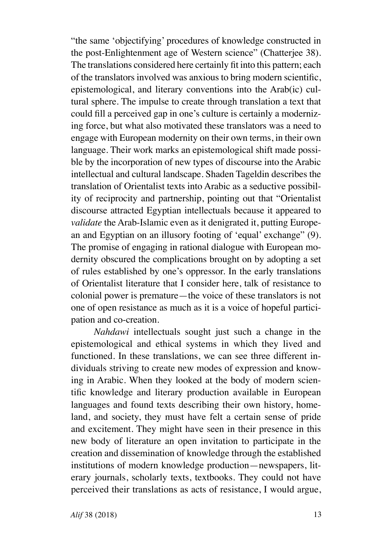"the same 'objectifying' procedures of knowledge constructed in the post-Enlightenment age of Western science" (Chatterjee 38). The translations considered here certainly fit into this pattern; each of the translators involved was anxious to bring modern scientific, epistemological, and literary conventions into the Arab(ic) cultural sphere. The impulse to create through translation a text that could fill a perceived gap in one's culture is certainly a modernizing force, but what also motivated these translators was a need to engage with European modernity on their own terms, in their own language. Their work marks an epistemological shift made possible by the incorporation of new types of discourse into the Arabic intellectual and cultural landscape. Shaden Tageldin describes the translation of Orientalist texts into Arabic as a seductive possibility of reciprocity and partnership, pointing out that "Orientalist discourse attracted Egyptian intellectuals because it appeared to *validate* the Arab-Islamic even as it denigrated it, putting European and Egyptian on an illusory footing of 'equal' exchange" (9). The promise of engaging in rational dialogue with European modernity obscured the complications brought on by adopting a set of rules established by one's oppressor. In the early translations of Orientalist literature that I consider here, talk of resistance to colonial power is premature—the voice of these translators is not one of open resistance as much as it is a voice of hopeful participation and co-creation.

*Nahdawi* intellectuals sought just such a change in the epistemological and ethical systems in which they lived and functioned. In these translations, we can see three different individuals striving to create new modes of expression and knowing in Arabic. When they looked at the body of modern scientific knowledge and literary production available in European languages and found texts describing their own history, homeland, and society, they must have felt a certain sense of pride and excitement. They might have seen in their presence in this new body of literature an open invitation to participate in the creation and dissemination of knowledge through the established institutions of modern knowledge production—newspapers, literary journals, scholarly texts, textbooks. They could not have perceived their translations as acts of resistance, I would argue,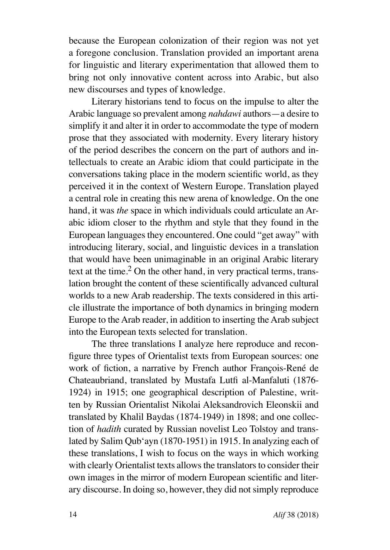because the European colonization of their region was not yet a foregone conclusion. Translation provided an important arena for linguistic and literary experimentation that allowed them to bring not only innovative content across into Arabic, but also new discourses and types of knowledge.

Literary historians tend to focus on the impulse to alter the Arabic language so prevalent among *nahdawi* authors—a desire to simplify it and alter it in order to accommodate the type of modern prose that they associated with modernity. Every literary history of the period describes the concern on the part of authors and intellectuals to create an Arabic idiom that could participate in the conversations taking place in the modern scientific world, as they perceived it in the context of Western Europe. Translation played a central role in creating this new arena of knowledge. On the one hand, it was *the* space in which individuals could articulate an Arabic idiom closer to the rhythm and style that they found in the European languages they encountered. One could "get away" with introducing literary, social, and linguistic devices in a translation that would have been unimaginable in an original Arabic literary text at the time.<sup>2</sup> On the other hand, in very practical terms, translation brought the content of these scientifically advanced cultural worlds to a new Arab readership. The texts considered in this article illustrate the importance of both dynamics in bringing modern Europe to the Arab reader, in addition to inserting the Arab subject into the European texts selected for translation.

The three translations I analyze here reproduce and reconfigure three types of Orientalist texts from European sources: one work of fiction, a narrative by French author François-René de Chateaubriand, translated by Mustafa Lutfi al-Manfaluti (1876- 1924) in 1915; one geographical description of Palestine, written by Russian Orientalist Nikolai Aleksandrovich Eleonskii and translated by Khalil Baydas (1874-1949) in 1898; and one collection of *hadith* curated by Russian novelist Leo Tolstoy and translated by Salim Qub'ayn (1870-1951) in 1915. In analyzing each of these translations, I wish to focus on the ways in which working with clearly Orientalist texts allows the translators to consider their own images in the mirror of modern European scientific and literary discourse. In doing so, however, they did not simply reproduce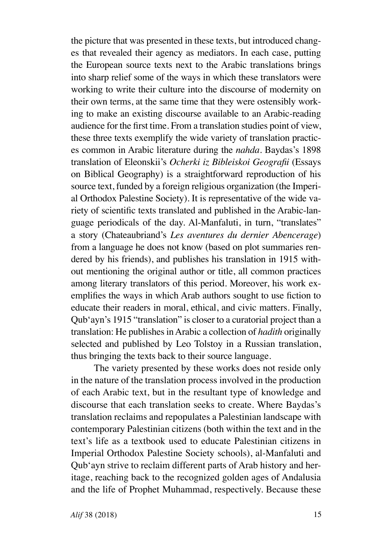the picture that was presented in these texts, but introduced changes that revealed their agency as mediators. In each case, putting the European source texts next to the Arabic translations brings into sharp relief some of the ways in which these translators were working to write their culture into the discourse of modernity on their own terms, at the same time that they were ostensibly working to make an existing discourse available to an Arabic-reading audience for the first time. From a translation studies point of view, these three texts exemplify the wide variety of translation practices common in Arabic literature during the *nahda*. Baydas's 1898 translation of Eleonskii's *Ocherki iz Bibleiskoi Geografii* (Essays on Biblical Geography) is a straightforward reproduction of his source text, funded by a foreign religious organization (the Imperial Orthodox Palestine Society). It is representative of the wide variety of scientific texts translated and published in the Arabic-language periodicals of the day. Al-Manfaluti, in turn, "translates" a story (Chateaubriand's *Les aventures du dernier Abencerage*) from a language he does not know (based on plot summaries rendered by his friends), and publishes his translation in 1915 without mentioning the original author or title, all common practices among literary translators of this period. Moreover, his work exemplifies the ways in which Arab authors sought to use fiction to educate their readers in moral, ethical, and civic matters. Finally, Qub'ayn's 1915 "translation" is closer to a curatorial project than a translation: He publishes in Arabic a collection of *hadith* originally selected and published by Leo Tolstoy in a Russian translation, thus bringing the texts back to their source language.

The variety presented by these works does not reside only in the nature of the translation process involved in the production of each Arabic text, but in the resultant type of knowledge and discourse that each translation seeks to create. Where Baydas's translation reclaims and repopulates a Palestinian landscape with contemporary Palestinian citizens (both within the text and in the text's life as a textbook used to educate Palestinian citizens in Imperial Orthodox Palestine Society schools), al-Manfaluti and Qub'ayn strive to reclaim different parts of Arab history and heritage, reaching back to the recognized golden ages of Andalusia and the life of Prophet Muhammad, respectively. Because these